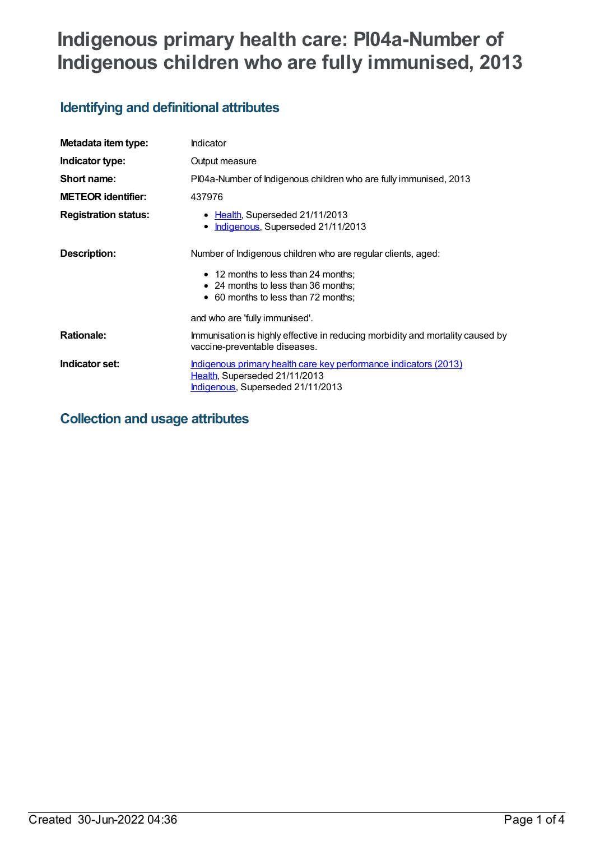# **Indigenous primary health care: PI04a-Number of Indigenous children who are fully immunised, 2013**

# **Identifying and definitional attributes**

| Metadata item type:         | Indicator                                                                                                                              |  |
|-----------------------------|----------------------------------------------------------------------------------------------------------------------------------------|--|
| Indicator type:             | Output measure                                                                                                                         |  |
| Short name:                 | PI04a-Number of Indigenous children who are fully immunised, 2013                                                                      |  |
| <b>METEOR identifier:</b>   | 437976                                                                                                                                 |  |
| <b>Registration status:</b> | • Health, Superseded 21/11/2013<br>Indigenous, Superseded 21/11/2013<br>٠                                                              |  |
| <b>Description:</b>         | Number of Indigenous children who are regular clients, aged:                                                                           |  |
|                             | • 12 months to less than 24 months;                                                                                                    |  |
|                             | • 24 months to less than 36 months;                                                                                                    |  |
|                             | • 60 months to less than 72 months;                                                                                                    |  |
|                             | and who are 'fully immunised'.                                                                                                         |  |
| <b>Rationale:</b>           | Immunisation is highly effective in reducing morbidity and mortality caused by<br>vaccine-preventable diseases.                        |  |
| Indicator set:              | Indigenous primary health care key performance indicators (2013)<br>Health, Superseded 21/11/2013<br>Indigenous, Superseded 21/11/2013 |  |

## **Collection and usage attributes**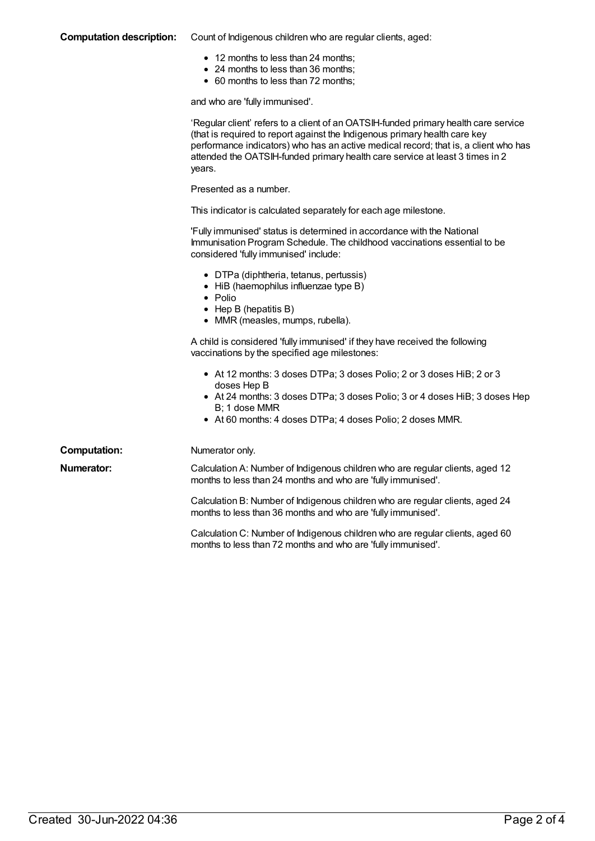#### **Computation description:** Count of Indigenous children who are regular clients, aged:

- 12 months to less than 24 months;
- 24 months to less than 36 months;
- 60 months to less than 72 months;

and who are 'fully immunised'.

|                     | 'Regular client' refers to a client of an OATSIH-funded primary health care service<br>(that is required to report against the Indigenous primary health care key<br>performance indicators) who has an active medical record; that is, a client who has<br>attended the OATSIH-funded primary health care service at least 3 times in 2<br>years. |
|---------------------|----------------------------------------------------------------------------------------------------------------------------------------------------------------------------------------------------------------------------------------------------------------------------------------------------------------------------------------------------|
|                     | Presented as a number.                                                                                                                                                                                                                                                                                                                             |
|                     | This indicator is calculated separately for each age milestone.                                                                                                                                                                                                                                                                                    |
|                     | 'Fully immunised' status is determined in accordance with the National<br>Immunisation Program Schedule. The childhood vaccinations essential to be<br>considered 'fully immunised' include:                                                                                                                                                       |
|                     | • DTPa (diphtheria, tetanus, pertussis)<br>• HiB (haemophilus influenzae type B)<br>• Polio<br>$\bullet$ Hep B (hepatitis B)<br>• MMR (measles, mumps, rubella).                                                                                                                                                                                   |
|                     | A child is considered 'fully immunised' if they have received the following<br>vaccinations by the specified age milestones:                                                                                                                                                                                                                       |
|                     | • At 12 months: 3 doses DTPa; 3 doses Polio; 2 or 3 doses HiB; 2 or 3<br>doses Hep B<br>• At 24 months: 3 doses DTPa; 3 doses Polio; 3 or 4 doses HiB; 3 doses Hep<br>B; 1 dose MMR<br>• At 60 months: 4 doses DTPa; 4 doses Polio; 2 doses MMR.                                                                                                   |
| <b>Computation:</b> | Numerator only.                                                                                                                                                                                                                                                                                                                                    |
| Numerator:          | Calculation A: Number of Indigenous children who are regular clients, aged 12<br>months to less than 24 months and who are 'fully immunised'.                                                                                                                                                                                                      |
|                     | Calculation B: Number of Indigenous children who are regular clients, aged 24<br>months to less than 36 months and who are 'fully immunised'.                                                                                                                                                                                                      |
|                     | Calculation C: Number of Indigenous children who are regular clients, aged 60<br>months to less than 72 months and who are 'fully immunised'.                                                                                                                                                                                                      |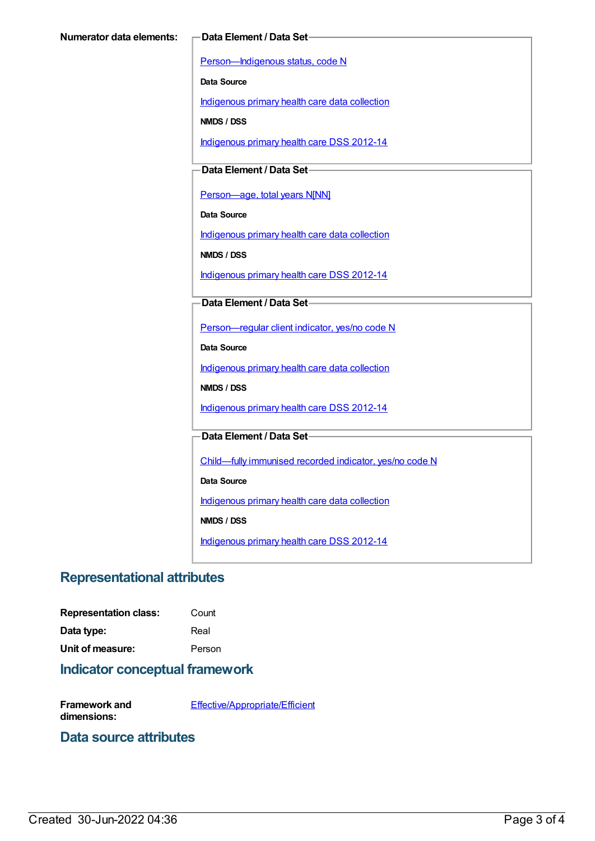[Person—Indigenous](https://meteor.aihw.gov.au/content/291036) status, code N

**Data Source**

[Indigenous](https://meteor.aihw.gov.au/content/430643) primary health care data collection

**NMDS / DSS**

[Indigenous](https://meteor.aihw.gov.au/content/430629) primary health care DSS 2012-14

**Data Element / Data Set**

[Person—age,](https://meteor.aihw.gov.au/content/303794) total years N[NN]

**Data Source**

[Indigenous](https://meteor.aihw.gov.au/content/430643) primary health care data collection

**NMDS / DSS**

[Indigenous](https://meteor.aihw.gov.au/content/430629) primary health care DSS 2012-14

#### **Data Element / Data Set**

[Person—regular](https://meteor.aihw.gov.au/content/436639) client indicator, yes/no code N

**Data Source**

[Indigenous](https://meteor.aihw.gov.au/content/430643) primary health care data collection

**NMDS / DSS**

[Indigenous](https://meteor.aihw.gov.au/content/430629) primary health care DSS 2012-14

**Data Element / Data Set**

[Child—fully](https://meteor.aihw.gov.au/content/457664) immunised recorded indicator, yes/no code N

**Data Source**

[Indigenous](https://meteor.aihw.gov.au/content/430643) primary health care data collection

**NMDS / DSS**

[Indigenous](https://meteor.aihw.gov.au/content/430629) primary health care DSS 2012-14

## **Representational attributes**

**Representation class:** Count

**Data type:** Real

**Unit of measure:** Person

### **Indicator conceptual framework**

**Framework and dimensions:** [Effective/Appropriate/Efficient](https://meteor.aihw.gov.au/content/410681)

### **Data source attributes**